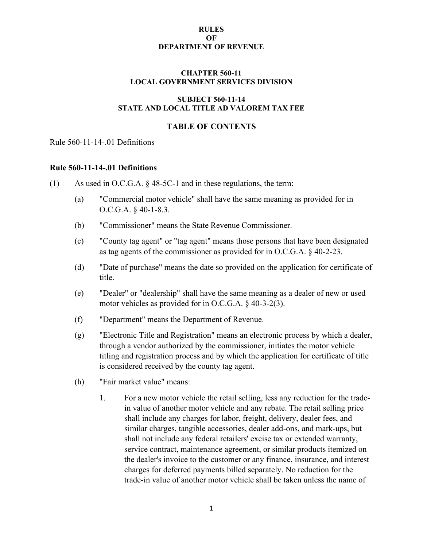# **CHAPTER 560-11 LOCAL GOVERNMENT SERVICES DIVISION**

# **SUBJECT 560-11-14 STATE AND LOCAL TITLE AD VALOREM TAX FEE**

# **TABLE OF CONTENTS**

# Rule 560-11-14-.01 Definitions

# **Rule 560-11-14-.01 Definitions**

- (1) As used in O.C.G.A. § 48-5C-1 and in these regulations, the term:
	- (a) "Commercial motor vehicle" shall have the same meaning as provided for in O.C.G.A. § 40-1-8.3.
	- (b) "Commissioner" means the State Revenue Commissioner.
	- (c) "County tag agent" or "tag agent" means those persons that have been designated as tag agents of the commissioner as provided for in O.C.G.A. § 40-2-23.
	- (d) "Date of purchase" means the date so provided on the application for certificate of title.
	- (e) "Dealer" or "dealership" shall have the same meaning as a dealer of new or used motor vehicles as provided for in O.C.G.A. § 40-3-2(3).
	- (f) "Department" means the Department of Revenue.
	- (g) "Electronic Title and Registration" means an electronic process by which a dealer, through a vendor authorized by the commissioner, initiates the motor vehicle titling and registration process and by which the application for certificate of title is considered received by the county tag agent.
	- (h) "Fair market value" means:
		- 1. For a new motor vehicle the retail selling, less any reduction for the tradein value of another motor vehicle and any rebate. The retail selling price shall include any charges for labor, freight, delivery, dealer fees, and similar charges, tangible accessories, dealer add-ons, and mark-ups, but shall not include any federal retailers' excise tax or extended warranty, service contract, maintenance agreement, or similar products itemized on the dealer's invoice to the customer or any finance, insurance, and interest charges for deferred payments billed separately. No reduction for the trade-in value of another motor vehicle shall be taken unless the name of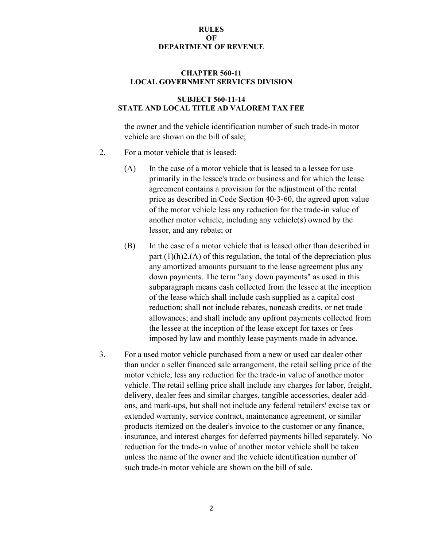### **CHAPTER 560-11 LOCAL GOVERNMENT SERVICES DIVISION**

# **SUBJECT 560-11-14 STATE AND LOCAL TITLE AD VALOREM TAX FEE**

the owner and the vehicle identification number of such trade-in motor vehicle are shown on the bill of sale;

- 2. For a motor vehicle that is leased:
	- (A) In the case of a motor vehicle that is leased to a lessee for use primarily in the lessee's trade or business and for which the lease agreement contains a provision for the adjustment of the rental price as described in Code Section 40-3-60, the agreed upon value of the motor vehicle less any reduction for the trade-in value of another motor vehicle, including any vehicle(s) owned by the lessor, and any rebate; or
	- (B) In the case of a motor vehicle that is leased other than described in part  $(1)(h)2(A)$  of this regulation, the total of the depreciation plus any amortized amounts pursuant to the lease agreement plus any down payments. The term "any down payments" as used in this subparagraph means cash collected from the lessee at the inception of the lease which shall include cash supplied as a capital cost reduction; shall not include rebates, noncash credits, or net trade allowances; and shall include any upfront payments collected from the lessee at the inception of the lease except for taxes or fees imposed by law and monthly lease payments made in advance.
- 3. For a used motor vehicle purchased from a new or used car dealer other than under a seller financed sale arrangement, the retail selling price of the motor vehicle, less any reduction for the trade-in value of another motor vehicle. The retail selling price shall include any charges for labor, freight, delivery, dealer fees and similar charges, tangible accessories, dealer addons, and mark-ups, but shall not include any federal retailers' excise tax or extended warranty, service contract, maintenance agreement, or similar products itemized on the dealer's invoice to the customer or any finance, insurance, and interest charges for deferred payments billed separately. No reduction for the trade-in value of another motor vehicle shall be taken unless the name of the owner and the vehicle identification number of such trade-in motor vehicle are shown on the bill of sale.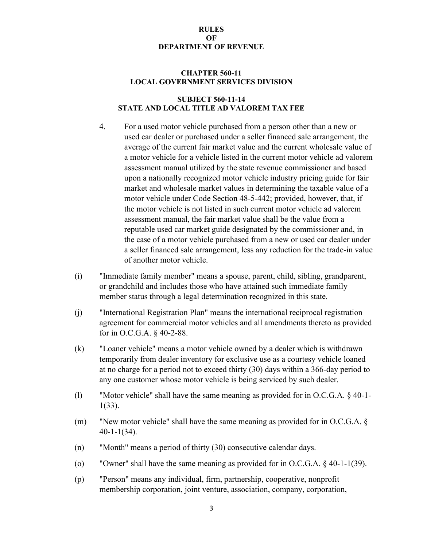### **CHAPTER 560-11 LOCAL GOVERNMENT SERVICES DIVISION**

### **SUBJECT 560-11-14 STATE AND LOCAL TITLE AD VALOREM TAX FEE**

- 4. For a used motor vehicle purchased from a person other than a new or used car dealer or purchased under a seller financed sale arrangement, the average of the current fair market value and the current wholesale value of a motor vehicle for a vehicle listed in the current motor vehicle ad valorem assessment manual utilized by the state revenue commissioner and based upon a nationally recognized motor vehicle industry pricing guide for fair market and wholesale market values in determining the taxable value of a motor vehicle under Code Section 48-5-442; provided, however, that, if the motor vehicle is not listed in such current motor vehicle ad valorem assessment manual, the fair market value shall be the value from a reputable used car market guide designated by the commissioner and, in the case of a motor vehicle purchased from a new or used car dealer under a seller financed sale arrangement, less any reduction for the trade-in value of another motor vehicle.
- (i) "Immediate family member" means a spouse, parent, child, sibling, grandparent, or grandchild and includes those who have attained such immediate family member status through a legal determination recognized in this state.
- (j) "International Registration Plan" means the international reciprocal registration agreement for commercial motor vehicles and all amendments thereto as provided for in O.C.G.A. § 40-2-88.
- (k) "Loaner vehicle" means a motor vehicle owned by a dealer which is withdrawn temporarily from dealer inventory for exclusive use as a courtesy vehicle loaned at no charge for a period not to exceed thirty (30) days within a 366-day period to any one customer whose motor vehicle is being serviced by such dealer.
- (l) "Motor vehicle" shall have the same meaning as provided for in O.C.G.A. § 40-1- 1(33).
- (m) "New motor vehicle" shall have the same meaning as provided for in O.C.G.A. § 40-1-1(34).
- (n) "Month" means a period of thirty (30) consecutive calendar days.
- (o) "Owner" shall have the same meaning as provided for in O.C.G.A. § 40-1-1(39).
- (p) "Person" means any individual, firm, partnership, cooperative, nonprofit membership corporation, joint venture, association, company, corporation,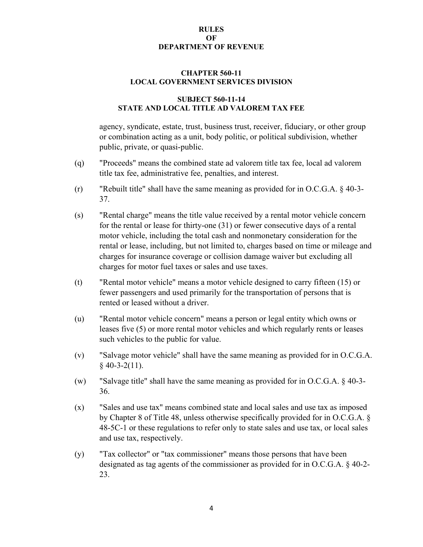### **CHAPTER 560-11 LOCAL GOVERNMENT SERVICES DIVISION**

# **SUBJECT 560-11-14 STATE AND LOCAL TITLE AD VALOREM TAX FEE**

agency, syndicate, estate, trust, business trust, receiver, fiduciary, or other group or combination acting as a unit, body politic, or political subdivision, whether public, private, or quasi-public.

- (q) "Proceeds" means the combined state ad valorem title tax fee, local ad valorem title tax fee, administrative fee, penalties, and interest.
- (r) "Rebuilt title" shall have the same meaning as provided for in O.C.G.A. § 40-3- 37.
- (s) "Rental charge" means the title value received by a rental motor vehicle concern for the rental or lease for thirty-one (31) or fewer consecutive days of a rental motor vehicle, including the total cash and nonmonetary consideration for the rental or lease, including, but not limited to, charges based on time or mileage and charges for insurance coverage or collision damage waiver but excluding all charges for motor fuel taxes or sales and use taxes.
- (t) "Rental motor vehicle" means a motor vehicle designed to carry fifteen (15) or fewer passengers and used primarily for the transportation of persons that is rented or leased without a driver.
- (u) "Rental motor vehicle concern" means a person or legal entity which owns or leases five (5) or more rental motor vehicles and which regularly rents or leases such vehicles to the public for value.
- (v) "Salvage motor vehicle" shall have the same meaning as provided for in O.C.G.A.  $§$  40-3-2(11).
- (w) "Salvage title" shall have the same meaning as provided for in O.C.G.A. § 40-3- 36.
- (x) "Sales and use tax" means combined state and local sales and use tax as imposed by Chapter 8 of Title 48, unless otherwise specifically provided for in O.C.G.A. § 48-5C-1 or these regulations to refer only to state sales and use tax, or local sales and use tax, respectively.
- (y) "Tax collector" or "tax commissioner" means those persons that have been designated as tag agents of the commissioner as provided for in O.C.G.A. § 40-2- 23.